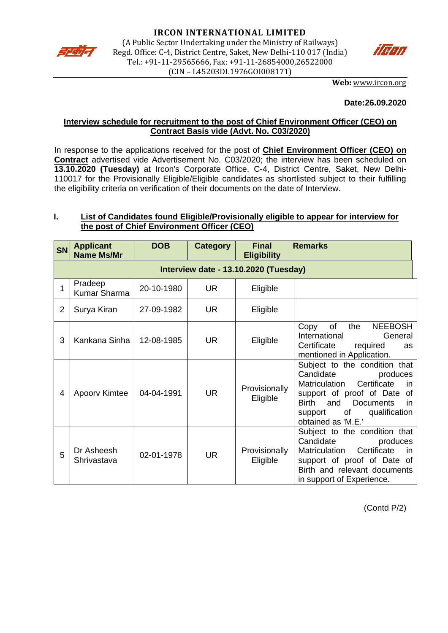



**Web:** [www.ircon.org](http://www.ircon.org/)

#### **Date:26.09.2020**

## **Interview schedule for recruitment to the post of Chief Environment Officer (CEO) on Contract Basis vide (Advt. No. C03/2020)**

In response to the applications received for the post of **Chief Environment Officer (CEO) on Contract** advertised vide Advertisement No. C03/2020; the interview has been scheduled on **13.10.2020 (Tuesday)** at Ircon's Corporate Office, C-4, District Centre, Saket, New Delhi-110017 for the Provisionally Eligible/Eligible candidates as shortlisted subject to their fulfilling the eligibility criteria on verification of their documents on the date of Interview.

# **I. List of Candidates found Eligible/Provisionally eligible to appear for interview for the post of Chief Environment Officer (CEO)**

| <b>SN</b>      | <b>Applicant</b><br><b>Name Ms/Mr</b> | <b>DOB</b> | <b>Category</b> | <b>Final</b><br><b>Eligibility</b> | <b>Remarks</b>                                                                                                                                                                                                                                  |  |  |  |  |
|----------------|---------------------------------------|------------|-----------------|------------------------------------|-------------------------------------------------------------------------------------------------------------------------------------------------------------------------------------------------------------------------------------------------|--|--|--|--|
|                | Interview date - 13.10.2020 (Tuesday) |            |                 |                                    |                                                                                                                                                                                                                                                 |  |  |  |  |
|                | Pradeep<br><b>Kumar Sharma</b>        | 20-10-1980 | <b>UR</b>       | Eligible                           |                                                                                                                                                                                                                                                 |  |  |  |  |
| $\overline{2}$ | Surya Kiran                           | 27-09-1982 | <b>UR</b>       | Eligible                           |                                                                                                                                                                                                                                                 |  |  |  |  |
| 3              | Kankana Sinha                         | 12-08-1985 | <b>UR</b>       | Eligible                           | of<br>the<br><b>NEEBOSH</b><br>Copy<br>International<br>General<br>Certificate<br>required<br><b>as</b><br>mentioned in Application.                                                                                                            |  |  |  |  |
| 4              | Apoorv Kimtee                         | 04-04-1991 | <b>UR</b>       | Provisionally<br>Eligible          | Subject to the condition that<br>Candidate<br>produces<br>Certificate<br>Matriculation<br><i>in</i><br>support of proof of Date<br>0f<br><b>Birth</b><br>and<br><b>Documents</b><br>in.<br>qualification<br>of<br>support<br>obtained as 'M.E.' |  |  |  |  |
| 5              | Dr Asheesh<br>Shrivastava             | 02-01-1978 | <b>UR</b>       | Provisionally<br>Eligible          | Subject to the condition that<br>Candidate<br>produces<br>Certificate<br>Matriculation<br>in.<br>support of proof of Date of<br>Birth and relevant documents<br>in support of Experience.                                                       |  |  |  |  |

(Contd P/2)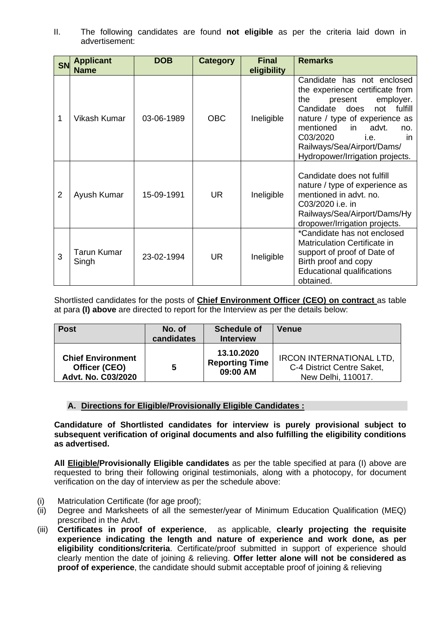II. The following candidates are found **not eligible** as per the criteria laid down in advertisement:

| <b>SN</b> | <b>Applicant</b><br><b>Name</b> | <b>DOB</b> | <b>Category</b> | <b>Final</b><br>eligibility | <b>Remarks</b>                                                                                                                                                                                                                                                                                        |
|-----------|---------------------------------|------------|-----------------|-----------------------------|-------------------------------------------------------------------------------------------------------------------------------------------------------------------------------------------------------------------------------------------------------------------------------------------------------|
| 1         | <b>Vikash Kumar</b>             | 03-06-1989 | <b>OBC</b>      | Ineligible                  | Candidate has not enclosed<br>the experience certificate from<br>employer.<br>the<br>present<br>fulfill<br>Candidate<br>does<br>not<br>nature / type of experience as<br>mentioned<br>advt.<br>in.<br>no.<br>C03/2020<br>i.e.<br>in.<br>Railways/Sea/Airport/Dams/<br>Hydropower/Irrigation projects. |
| 2         | Ayush Kumar                     | 15-09-1991 | UR.             | Ineligible                  | Candidate does not fulfill<br>nature / type of experience as<br>mentioned in advt. no.<br>C03/2020 i.e. in<br>Railways/Sea/Airport/Dams/Hy<br>dropower/Irrigation projects.                                                                                                                           |
| 3         | Tarun Kumar<br>Singh            | 23-02-1994 | UR.             | Ineligible                  | *Candidate has not enclosed<br><b>Matriculation Certificate in</b><br>support of proof of Date of<br>Birth proof and copy<br><b>Educational qualifications</b><br>obtained.                                                                                                                           |

Shortlisted candidates for the posts of **Chief Environment Officer (CEO) on contract** as table at para **(I) above** are directed to report for the Interview as per the details below:

| <b>Post</b>              | No. of<br>candidates | <b>Schedule of</b><br><b>Interview</b> | <b>Venue</b>                    |
|--------------------------|----------------------|----------------------------------------|---------------------------------|
| <b>Chief Environment</b> | 5                    | 13.10.2020                             | <b>IRCON INTERNATIONAL LTD,</b> |
| Officer (CEO)            |                      | <b>Reporting Time</b>                  | C-4 District Centre Saket,      |
| Advt. No. C03/2020       |                      | 09:00 AM                               | New Delhi, 110017.              |

## **A. Directions for Eligible/Provisionally Eligible Candidates :**

**Candidature of Shortlisted candidates for interview is purely provisional subject to subsequent verification of original documents and also fulfilling the eligibility conditions as advertised.** 

**All Eligible/Provisionally Eligible candidates** as per the table specified at para (I) above are requested to bring their following original testimonials, along with a photocopy, for document verification on the day of interview as per the schedule above:

- (i) Matriculation Certificate (for age proof);
- (ii) Degree and Marksheets of all the semester/year of Minimum Education Qualification (MEQ) prescribed in the Advt.
- (iii) **Certificates in proof of experience**, as applicable, **clearly projecting the requisite experience indicating the length and nature of experience and work done, as per eligibility conditions/criteria.** Certificate/proof submitted in support of experience should clearly mention the date of joining & relieving. **Offer letter alone will not be considered as proof of experience**, the candidate should submit acceptable proof of joining & relieving